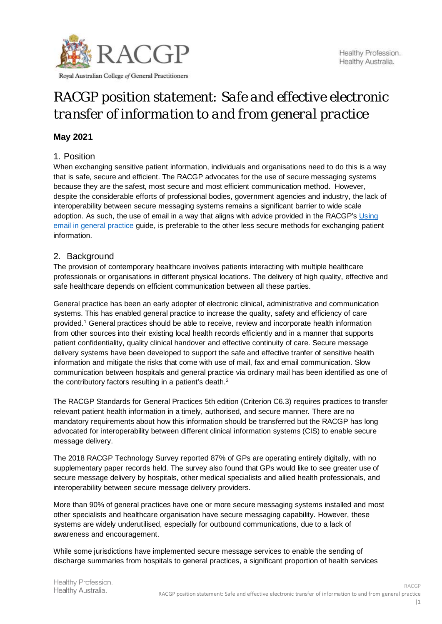

Royal Australian College of General Practitioners

# *RACGP position statement: Safe and effective electronic transfer of information to and from general practice*

# **May 2021**

# 1. Position

When exchanging sensitive patient information, individuals and organisations need to do this is a way that is safe, secure and efficient. The RACGP advocates for the use of secure messaging systems because they are the safest, most secure and most efficient communication method. However, despite the considerable efforts of professional bodies, government agencies and industry, the lack of interoperability between secure messaging systems remains a significant barrier to wide scale adoption. As such, the use of email in a way that aligns with advice provided in the RACGP's [Using](https://www.racgp.org.au/running-a-practice/technology/business-technology/using-email-in-general-practice)  [email in general practice](https://www.racgp.org.au/running-a-practice/technology/business-technology/using-email-in-general-practice) guide, is preferable to the other less secure methods for exchanging patient information.

# 2. Background

The provision of contemporary healthcare involves patients interacting with multiple healthcare professionals or organisations in different physical locations. The delivery of high quality, effective and safe healthcare depends on efficient communication between all these parties.

General practice has been an early adopter of electronic clinical, administrative and communication systems. This has enabled general practice to increase the quality, safety and efficiency of care provided.1 General practices should be able to receive, review and incorporate health information from other sources into their existing local health records efficiently and in a manner that supports patient confidentiality, quality clinical handover and effective continuity of care. Secure message delivery systems have been developed to support the safe and effective tranfer of sensitive health information and mitigate the risks that come with use of mail, fax and email communication. Slow communication between hospitals and general practice via ordinary mail has been identified as one of the contributory factors resulting in a patient's death.<sup>2</sup>

The RACGP Standards for General Practices 5th edition (Criterion C6.3) requires practices to transfer relevant patient health information in a timely, authorised, and secure manner. There are no mandatory requirements about how this information should be transferred but the RACGP has long advocated for interoperability between different clinical information systems (CIS) to enable secure message delivery.

The 2018 RACGP Technology Survey reported 87% of GPs are operating entirely digitally, with no supplementary paper records held. The survey also found that GPs would like to see greater use of secure message delivery by hospitals, other medical specialists and allied health professionals, and interoperability between secure message delivery providers.

More than 90% of general practices have one or more secure messaging systems installed and most other specialists and healthcare organisation have secure messaging capability. However, these systems are widely underutilised, especially for outbound communications, due to a lack of awareness and encouragement.

While some jurisdictions have implemented secure message services to enable the sending of discharge summaries from hospitals to general practices, a significant proportion of health services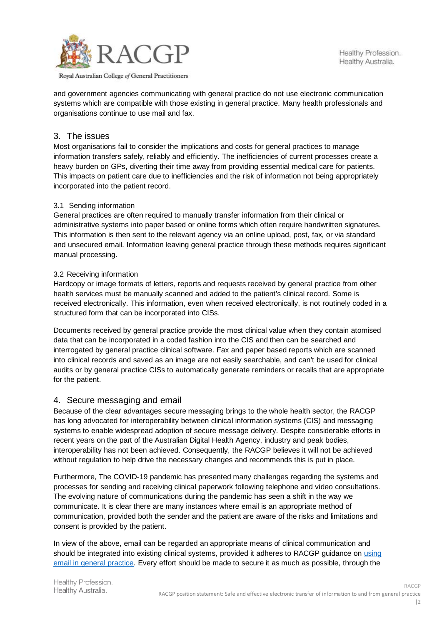

#### Royal Australian College of General Practitioners

and government agencies communicating with general practice do not use electronic communication systems which are compatible with those existing in general practice. Many health professionals and organisations continue to use mail and fax.

## 3. The issues

Most organisations fail to consider the implications and costs for general practices to manage information transfers safely, reliably and efficiently. The inefficiencies of current processes create a heavy burden on GPs, diverting their time away from providing essential medical care for patients. This impacts on patient care due to inefficiencies and the risk of information not being appropriately incorporated into the patient record.

## 3.1 Sending information

General practices are often required to manually transfer information from their clinical or administrative systems into paper based or online forms which often require handwritten signatures. This information is then sent to the relevant agency via an online upload, post, fax, or via standard and unsecured email. Information leaving general practice through these methods requires significant manual processing.

## 3.2 Receiving information

Hardcopy or image formats of letters, reports and requests received by general practice from other health services must be manually scanned and added to the patient's clinical record. Some is received electronically. This information, even when received electronically, is not routinely coded in a structured form that can be incorporated into CISs.

Documents received by general practice provide the most clinical value when they contain atomised data that can be incorporated in a coded fashion into the CIS and then can be searched and interrogated by general practice clinical software. Fax and paper based reports which are scanned into clinical records and saved as an image are not easily searchable, and can't be used for clinical audits or by general practice CISs to automatically generate reminders or recalls that are appropriate for the patient.

## 4. Secure messaging and email

Because of the clear advantages secure messaging brings to the whole health sector, the RACGP has long advocated for interoperability between clinical information systems (CIS) and messaging systems to enable widespread adoption of secure message delivery. Despite considerable efforts in recent years on the part of the Australian Digital Health Agency, industry and peak bodies, interoperability has not been achieved. Consequently, the RACGP believes it will not be achieved without regulation to help drive the necessary changes and recommends this is put in place.

Furthermore, The COVID-19 pandemic has presented many challenges regarding the systems and processes for sending and receiving clinical paperwork following telephone and video consultations. The evolving nature of communications during the pandemic has seen a shift in the way we communicate. It is clear there are many instances where email is an appropriate method of communication, provided both the sender and the patient are aware of the risks and limitations and consent is provided by the patient.

In view of the above, email can be regarded an appropriate means of clinical communication and should be integrated into existing clinical systems, provided it adheres to RACGP guidance on [using](https://www.racgp.org.au/running-a-practice/technology/business-technology/using-email-in-general-practice)  [email in general practice.](https://www.racgp.org.au/running-a-practice/technology/business-technology/using-email-in-general-practice) Every effort should be made to secure it as much as possible, through the